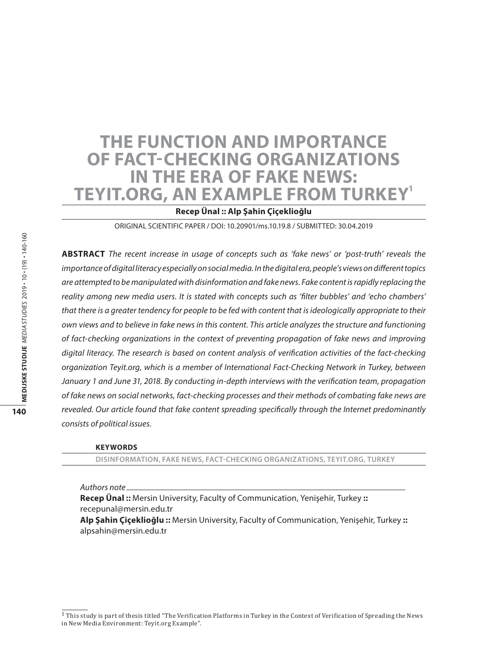# **The Function and Importance of Fact-Checking Organizations in the Era of Fake News: Teyit.Org, an Example from Turkey1**

#### **Recep Ünal :: Alp Şahin Çiçeklioğlu**

ORIGINAL SCIENTIFIC PAPER / DOI: 10.20901/ms.10.19.8 / SUBMITTED: 30.04.2019

**Abstract** *The recent increase in usage of concepts such as 'fake news' or 'post-truth' reveals the importance of digital literacy especially on social media. In the digital era, people's views on different topics are attempted to be manipulated with disinformation and fake news. Fake content is rapidly replacing the reality among new media users. It is stated with concepts such as 'filter bubbles' and 'echo chambers' that there is a greater tendency for people to be fed with content that is ideologically appropriate to their own views and to believe in fake news in this content. This article analyzes the structure and functioning of fact-checking organizations in the context of preventing propagation of fake news and improving digital literacy. The research is based on content analysis of verification activities of the fact-checking organization Teyit.org, which is a member of International Fact-Checking Network in Turkey, between January 1 and June 31, 2018. By conducting in-depth interviews with the verification team, propagation of fake news on social networks, fact-checking processes and their methods of combating fake news are revealed. Our article found that fake content spreading specifically through the Internet predominantly consists of political issues.*

#### **Keywords**

**Disinformation, Fake News, Fact-Checking Organizations, Teyit.Org, Turkey**

*Authors note*

**Recep Ünal ::** Mersin University, Faculty of Communication, Yenişehir, Turkey **::** recepunal@mersin.edu.tr

**Alp Şahin Çiçeklioğlu ::** Mersin University, Faculty of Communication, Yenişehir, Turkey **::** alpsahin@mersin.edu.tr

 $\frac{1}{1}$  This study is part of thesis titled "The Verification Platforms in Turkey in the Context of Verification of Spreading the News in New Media Environment: Teyit.org Example".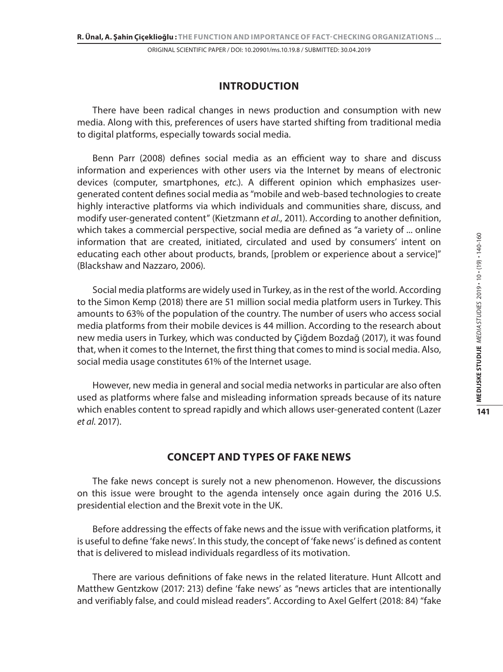## **INTRODUCTION**

There have been radical changes in news production and consumption with new media. Along with this, preferences of users have started shifting from traditional media to digital platforms, especially towards social media.

Benn Parr (2008) defines social media as an efficient way to share and discuss information and experiences with other users via the Internet by means of electronic devices (computer, smartphones, *etc*.). A different opinion which emphasizes usergenerated content defines social media as "mobile and web-based technologies to create highly interactive platforms via which individuals and communities share, discuss, and modify user-generated content" (Kietzmann *et al*., 2011). According to another definition, which takes a commercial perspective, social media are defined as "a variety of ... online information that are created, initiated, circulated and used by consumers' intent on educating each other about products, brands, [problem or experience about a service]" (Blackshaw and Nazzaro, 2006).

Social media platforms are widely used in Turkey, as in the rest of the world. According to the Simon Kemp (2018) there are 51 million social media platform users in Turkey. This amounts to 63% of the population of the country. The number of users who access social media platforms from their mobile devices is 44 million. According to the research about new media users in Turkey, which was conducted by Çiğdem Bozdağ (2017), it was found that, when it comes to the Internet, the first thing that comes to mind is social media. Also, social media usage constitutes 61% of the Internet usage.

However, new media in general and social media networks in particular are also often used as platforms where false and misleading information spreads because of its nature which enables content to spread rapidly and which allows user-generated content (Lazer *et al*. 2017).

## **CONCEPT AND TYPES OF FAKE NEWS**

The fake news concept is surely not a new phenomenon. However, the discussions on this issue were brought to the agenda intensely once again during the 2016 U.S. presidential election and the Brexit vote in the UK.

Before addressing the effects of fake news and the issue with verification platforms, it is useful to define 'fake news'. In this study, the concept of 'fake news' is defined as content that is delivered to mislead individuals regardless of its motivation.

There are various definitions of fake news in the related literature. Hunt Allcott and Matthew Gentzkow (2017: 213) define 'fake news' as "news articles that are intentionally and verifiably false, and could mislead readers". According to Axel Gelfert (2018: 84) "fake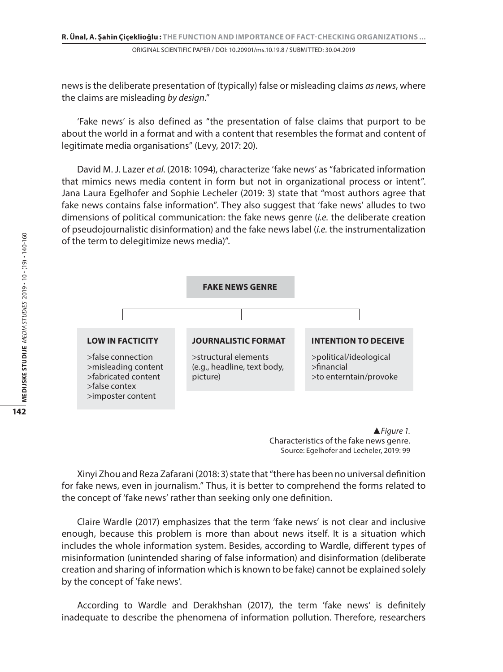news is the deliberate presentation of (typically) false or misleading claims *as news*, where the claims are misleading *by design*."

'Fake news' is also defined as "the presentation of false claims that purport to be about the world in a format and with a content that resembles the format and content of legitimate media organisations" (Levy, 2017: 20).

David M. J. Lazer *et al*. (2018: 1094), characterize 'fake news' as "fabricated information that mimics news media content in form but not in organizational process or intent". Jana Laura Egelhofer and Sophie Lecheler (2019: 3) state that "most authors agree that fake news contains false information". They also suggest that 'fake news' alludes to two dimensions of political communication: the fake news genre (*i.e.* the deliberate creation of pseudojournalistic disinformation) and the fake news label (*i.e.* the instrumentalization of the term to delegitimize news media)".



*Figure 1.* Characteristics of the fake news genre. Source: Egelhofer and Lecheler, 2019: 99

Xinyi Zhou and Reza Zafarani (2018: 3) state that "there has been no universal definition for fake news, even in journalism." Thus, it is better to comprehend the forms related to the concept of 'fake news' rather than seeking only one definition.

Claire Wardle (2017) emphasizes that the term 'fake news' is not clear and inclusive enough, because this problem is more than about news itself. It is a situation which includes the whole information system. Besides, according to Wardle, different types of misinformation (unintended sharing of false information) and disinformation (deliberate creation and sharing of information which is known to be fake) cannot be explained solely by the concept of 'fake news'.

According to Wardle and Derakhshan (2017), the term 'fake news' is definitely inadequate to describe the phenomena of information pollution. Therefore, researchers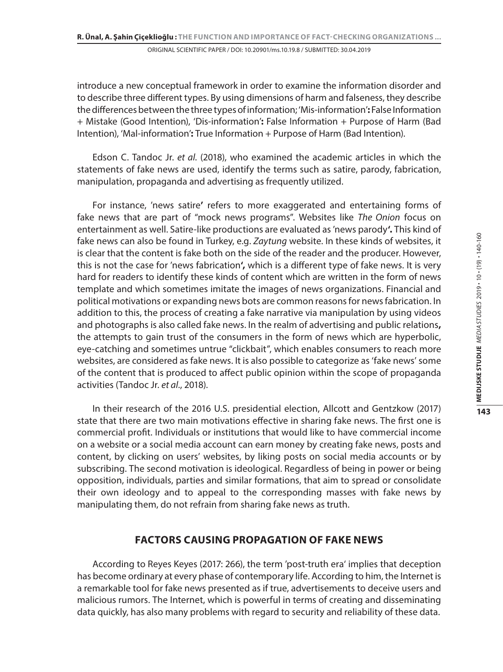introduce a new conceptual framework in order to examine the information disorder and to describe three different types. By using dimensions of harm and falseness, they describe the differences between the three types of information; 'Mis-information'**:** False Information + Mistake (Good Intention), 'Dis-information'**:** False Information + Purpose of Harm (Bad Intention), 'Mal-information'**:** True Information + Purpose of Harm (Bad Intention).

Edson C. Tandoc Jr. *et al*. (2018), who examined the academic articles in which the statements of fake news are used, identify the terms such as satire, parody, fabrication, manipulation, propaganda and advertising as frequently utilized.

For instance, 'news satire**'** refers to more exaggerated and entertaining forms of fake news that are part of "mock news programs". Websites like *The Onion* focus on entertainment as well. Satire-like productions are evaluated as 'news parody**'.** This kind of fake news can also be found in Turkey, e.g. *Zaytung* website. In these kinds of websites, it is clear that the content is fake both on the side of the reader and the producer. However, this is not the case for 'news fabrication**',** which is a different type of fake news. It is very hard for readers to identify these kinds of content which are written in the form of news template and which sometimes imitate the images of news organizations. Financial and political motivations or expanding news bots are common reasons for news fabrication. In addition to this, the process of creating a fake narrative via manipulation by using videos and photographs is also called fake news. In the realm of advertising and public relations**,** the attempts to gain trust of the consumers in the form of news which are hyperbolic, eye-catching and sometimes untrue "clickbait", which enables consumers to reach more websites, are considered as fake news. It is also possible to categorize as 'fake news' some of the content that is produced to affect public opinion within the scope of propaganda activities (Tandoc Jr. *et al*., 2018).

In their research of the 2016 U.S. presidential election, Allcott and Gentzkow (2017) state that there are two main motivations effective in sharing fake news. The first one is commercial profit. Individuals or institutions that would like to have commercial income on a website or a social media account can earn money by creating fake news, posts and content, by clicking on users' websites, by liking posts on social media accounts or by subscribing. The second motivation is ideological. Regardless of being in power or being opposition, individuals, parties and similar formations, that aim to spread or consolidate their own ideology and to appeal to the corresponding masses with fake news by manipulating them, do not refrain from sharing fake news as truth.

# **FACTORS CAUSING PROPAGATION OF FAKE NEWS**

According to Reyes Keyes (2017: 266), the term 'post-truth era' implies that deception has become ordinary at every phase of contemporary life. According to him, the Internet is a remarkable tool for fake news presented as if true, advertisements to deceive users and malicious rumors. The Internet, which is powerful in terms of creating and disseminating data quickly, has also many problems with regard to security and reliability of these data.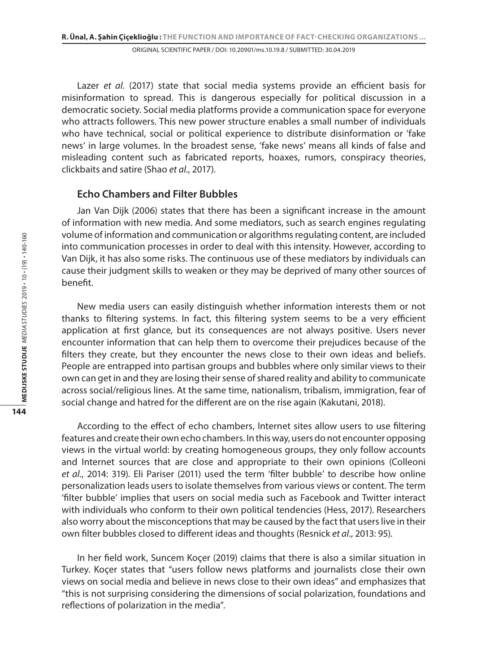Lazer *et al*. (2017) state that social media systems provide an efficient basis for misinformation to spread. This is dangerous especially for political discussion in a democratic society. Social media platforms provide a communication space for everyone who attracts followers. This new power structure enables a small number of individuals who have technical, social or political experience to distribute disinformation or 'fake news' in large volumes. In the broadest sense, 'fake news' means all kinds of false and misleading content such as fabricated reports, hoaxes, rumors, conspiracy theories, clickbaits and satire (Shao *et al*., 2017).

#### **Echo Chambers and Filter Bubbles**

Jan Van Dijk (2006) states that there has been a significant increase in the amount of information with new media. And some mediators, such as search engines regulating volume of information and communication or algorithms regulating content, are included into communication processes in order to deal with this intensity. However, according to Van Dijk, it has also some risks. The continuous use of these mediators by individuals can cause their judgment skills to weaken or they may be deprived of many other sources of benefit.

New media users can easily distinguish whether information interests them or not thanks to filtering systems. In fact, this filtering system seems to be a very efficient application at first glance, but its consequences are not always positive. Users never encounter information that can help them to overcome their prejudices because of the filters they create, but they encounter the news close to their own ideas and beliefs. People are entrapped into partisan groups and bubbles where only similar views to their own can get in and they are losing their sense of shared reality and ability to communicate across social/religious lines. At the same time, nationalism, tribalism, immigration, fear of social change and hatred for the different are on the rise again (Kakutani, 2018).

According to the effect of echo chambers, Internet sites allow users to use filtering features and create their own echo chambers. In this way, users do not encounter opposing views in the virtual world: by creating homogeneous groups, they only follow accounts and Internet sources that are close and appropriate to their own opinions (Colleoni *et al*., 2014: 319). Eli Pariser (2011) used the term 'filter bubble' to describe how online personalization leads users to isolate themselves from various views or content. The term 'filter bubble' implies that users on social media such as Facebook and Twitter interact with individuals who conform to their own political tendencies (Hess, 2017). Researchers also worry about the misconceptions that may be caused by the fact that users live in their own filter bubbles closed to different ideas and thoughts (Resnick *et al*., 2013: 95).

In her field work, Suncem Koçer (2019) claims that there is also a similar situation in Turkey. Koçer states that "users follow news platforms and journalists close their own views on social media and believe in news close to their own ideas" and emphasizes that "this is not surprising considering the dimensions of social polarization, foundations and reflections of polarization in the media".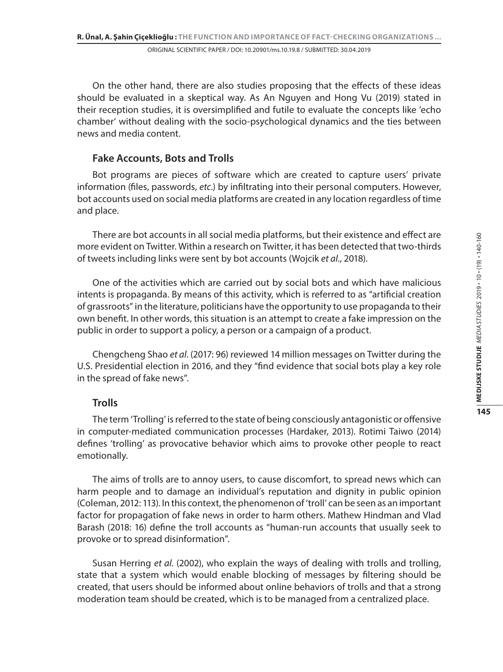On the other hand, there are also studies proposing that the effects of these ideas should be evaluated in a skeptical way. As An Nguyen and Hong Vu (2019) stated in their reception studies, it is oversimplified and futile to evaluate the concepts like 'echo chamber' without dealing with the socio-psychological dynamics and the ties between news and media content.

## **Fake Accounts, Bots and Trolls**

Bot programs are pieces of software which are created to capture users' private information (files, passwords, *etc*.) by infiltrating into their personal computers. However, bot accounts used on social media platforms are created in any location regardless of time and place.

There are bot accounts in all social media platforms, but their existence and effect are more evident on Twitter. Within a research on Twitter, it has been detected that two-thirds of tweets including links were sent by bot accounts (Wojcik *et al*., 2018).

One of the activities which are carried out by social bots and which have malicious intents is propaganda. By means of this activity, which is referred to as "artificial creation of grassroots" in the literature, politicians have the opportunity to use propaganda to their own benefit. In other words, this situation is an attempt to create a fake impression on the public in order to support a policy, a person or a campaign of a product.

Chengcheng Shao *et al*. (2017: 96) reviewed 14 million messages on Twitter during the U.S. Presidential election in 2016, and they "find evidence that social bots play a key role in the spread of fake news".

## **Trolls**

The term 'Trolling' is referred to the state of being consciously antagonistic or offensive in computer-mediated communication processes (Hardaker, 2013). Rotimi Taiwo (2014) defines 'trolling' as provocative behavior which aims to provoke other people to react emotionally.

The aims of trolls are to annoy users, to cause discomfort, to spread news which can harm people and to damage an individual's reputation and dignity in public opinion (Coleman, 2012: 113). In this context, the phenomenon of 'troll' can be seen as an important factor for propagation of fake news in order to harm others. Mathew Hindman and Vlad Barash (2018: 16) define the troll accounts as "human-run accounts that usually seek to provoke or to spread disinformation".

Susan Herring *et al*. (2002), who explain the ways of dealing with trolls and trolling, state that a system which would enable blocking of messages by filtering should be created, that users should be informed about online behaviors of trolls and that a strong moderation team should be created, which is to be managed from a centralized place.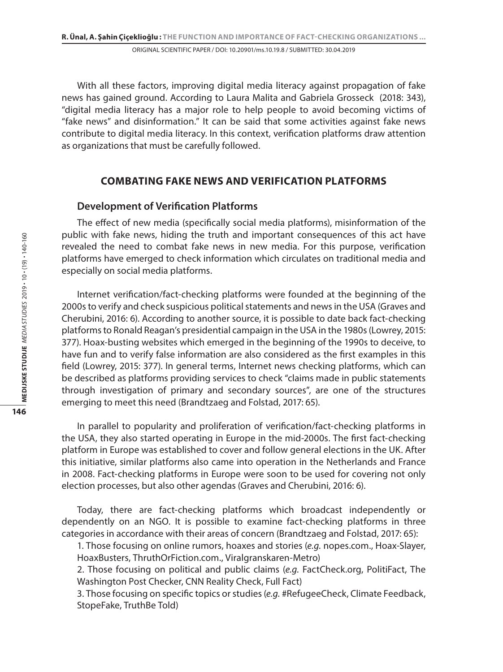With all these factors, improving digital media literacy against propagation of fake news has gained ground. According to Laura Malita and Gabriela Grosseck (2018: 343), "digital media literacy has a major role to help people to avoid becoming victims of "fake news" and disinformation." It can be said that some activities against fake news contribute to digital media literacy. In this context, verification platforms draw attention as organizations that must be carefully followed.

### **COMBATING FAKE NEWS AND VERIFICATION PLATFORMS**

#### **Development of Verification Platforms**

The effect of new media (specifically social media platforms), misinformation of the public with fake news, hiding the truth and important consequences of this act have revealed the need to combat fake news in new media. For this purpose, verification platforms have emerged to check information which circulates on traditional media and especially on social media platforms.

Internet verification/fact-checking platforms were founded at the beginning of the 2000s to verify and check suspicious political statements and news in the USA (Graves and Cherubini, 2016: 6). According to another source, it is possible to date back fact-checking platforms to Ronald Reagan's presidential campaign in the USA in the 1980s (Lowrey, 2015: 377). Hoax-busting websites which emerged in the beginning of the 1990s to deceive, to have fun and to verify false information are also considered as the first examples in this field (Lowrey, 2015: 377). In general terms, Internet news checking platforms, which can be described as platforms providing services to check "claims made in public statements through investigation of primary and secondary sources", are one of the structures emerging to meet this need (Brandtzaeg and Folstad, 2017: 65).

In parallel to popularity and proliferation of verification/fact-checking platforms in the USA, they also started operating in Europe in the mid-2000s. The first fact-checking platform in Europe was established to cover and follow general elections in the UK. After this initiative, similar platforms also came into operation in the Netherlands and France in 2008. Fact-checking platforms in Europe were soon to be used for covering not only election processes, but also other agendas (Graves and Cherubini, 2016: 6).

Today, there are fact-checking platforms which broadcast independently or dependently on an NGO. It is possible to examine fact-checking platforms in three categories in accordance with their areas of concern (Brandtzaeg and Folstad, 2017: 65):

1. Those focusing on online rumors, hoaxes and stories (*e.g.* nopes.com., Hoax-Slayer, HoaxBusters, ThruthOrFiction.com., Viralgranskaren-Metro)

2. Those focusing on political and public claims (*e.g.* FactCheck.org, PolitiFact, The Washington Post Checker, CNN Reality Check, Full Fact)

3. Those focusing on specific topics or studies (*e.g.* #RefugeeCheck, Climate Feedback, StopeFake, TruthBe Told)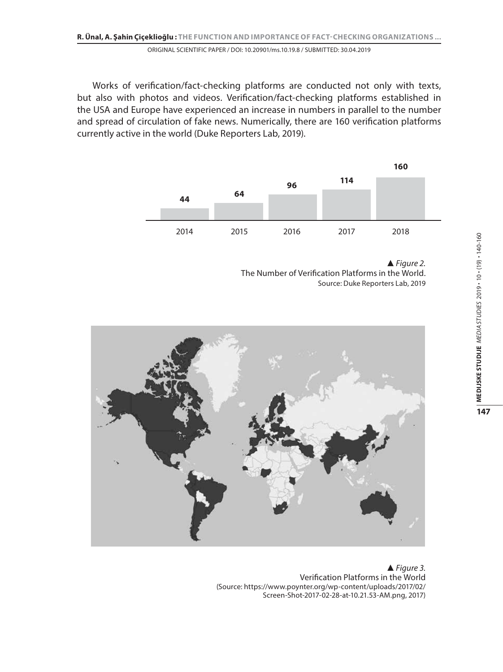Works of verification/fact-checking platforms are conducted not only with texts, but also with photos and videos. Verification/fact-checking platforms established in the USA and Europe have experienced an increase in numbers in parallel to the number and spread of circulation of fake news. Numerically, there are 160 verification platforms currently active in the world (Duke Reporters Lab, 2019).



*Figure 2.* The Number of Verification Platforms in the World. Source: Duke Reporters Lab, 2019



*Figure 3.* Verification Platforms in the World (Source: https://www.poynter.org/wp-content/uploads/2017/02/ Screen-Shot-2017-02-28-at-10.21.53-AM.png, 2017)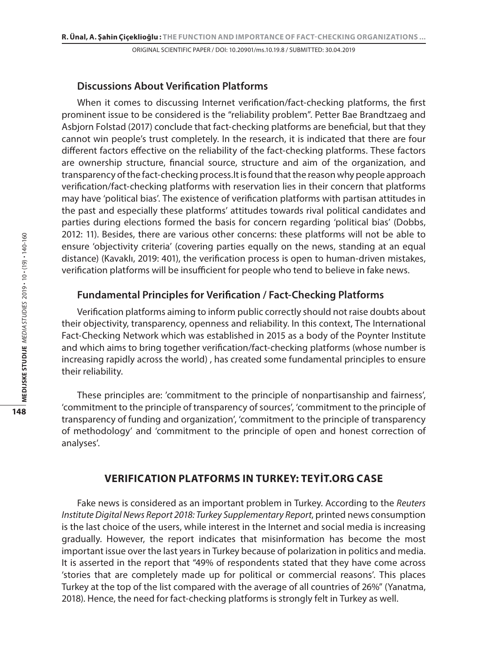#### **Discussions About Verification Platforms**

When it comes to discussing Internet verification/fact-checking platforms, the first prominent issue to be considered is the "reliability problem". Petter Bae Brandtzaeg and Asbjorn Folstad (2017) conclude that fact-checking platforms are beneficial, but that they cannot win people's trust completely. In the research, it is indicated that there are four different factors effective on the reliability of the fact-checking platforms. These factors are ownership structure, financial source, structure and aim of the organization, and transparency of the fact-checking process.It is found that the reason why people approach verification/fact-checking platforms with reservation lies in their concern that platforms may have 'political bias'. The existence of verification platforms with partisan attitudes in the past and especially these platforms' attitudes towards rival political candidates and parties during elections formed the basis for concern regarding 'political bias' (Dobbs, 2012: 11). Besides, there are various other concerns: these platforms will not be able to ensure 'objectivity criteria' (covering parties equally on the news, standing at an equal distance) (Kavaklı, 2019: 401), the verification process is open to human-driven mistakes, verification platforms will be insufficient for people who tend to believe in fake news.

#### **Fundamental Principles for Verification / Fact-Checking Platforms**

Verification platforms aiming to inform public correctly should not raise doubts about their objectivity, transparency, openness and reliability. In this context, The International Fact-Checking Network which was established in 2015 as a body of the Poynter Institute and which aims to bring together verification/fact-checking platforms (whose number is increasing rapidly across the world) , has created some fundamental principles to ensure their reliability.

These principles are: 'commitment to the principle of nonpartisanship and fairness', 'commitment to the principle of transparency of sources', 'commitment to the principle of transparency of funding and organization', 'commitment to the principle of transparency of methodology' and 'commitment to the principle of open and honest correction of analyses'.

#### **VERIFICATION PLATFORMS IN TURKEY: TEYİT.ORG CASE**

Fake news is considered as an important problem in Turkey. According to the *Reuters Institute Digital News Report 2018: Turkey Supplementary Report*, printed news consumption is the last choice of the users, while interest in the Internet and social media is increasing gradually. However, the report indicates that misinformation has become the most important issue over the last years in Turkey because of polarization in politics and media. It is asserted in the report that "49% of respondents stated that they have come across 'stories that are completely made up for political or commercial reasons'. This places Turkey at the top of the list compared with the average of all countries of 26%" (Yanatma, 2018). Hence, the need for fact-checking platforms is strongly felt in Turkey as well.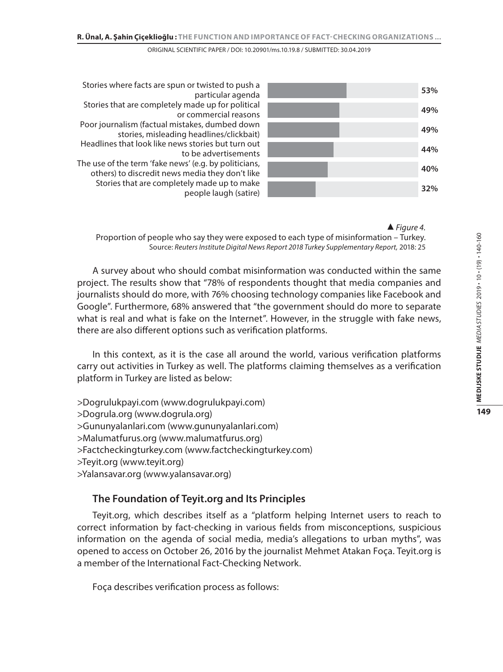ORIGINAL SCIENTIFIC PAPER / DOI: 10.20901/ms.10.19.8 / SUBMITTED: 30.04.2019



Stories where facts are spun or twisted to push a particular agenda Stories that are completely made up for political or commercial reasons Poor journalism (factual mistakes, dumbed down stories, misleading headlines/clickbait) Headlines that look like news stories but turn out to be advertisements The use of the term 'fake news' (e.g. by politicians, others) to discredit news media they don't like Stories that are completely made up to make people laugh (satire)

#### *Figure 4.*

Proportion of people who say they were exposed to each type of misinformation – Turkey. Source: *Reuters Institute Digital News Report 2018 Turkey Supplementary Report,* 2018: 25

A survey about who should combat misinformation was conducted within the same project. The results show that "78% of respondents thought that media companies and journalists should do more, with 76% choosing technology companies like Facebook and Google". Furthermore, 68% answered that "the government should do more to separate what is real and what is fake on the Internet". However, in the struggle with fake news, there are also different options such as verification platforms.

In this context, as it is the case all around the world, various verification platforms carry out activities in Turkey as well. The platforms claiming themselves as a verification platform in Turkey are listed as below:

```
>Dogrulukpayi.com (www.dogrulukpayi.com)
>Dogrula.org (www.dogrula.org)
>Gununyalanlari.com (www.gununyalanlari.com)
>Malumatfurus.org (www.malumatfurus.org)
>Factcheckingturkey.com (www.factcheckingturkey.com) 
>Teyit.org (www.teyit.org) 
>Yalansavar.org (www.yalansavar.org)
```
## **The Foundation of Teyit.org and Its Principles**

Teyit.org, which describes itself as a "platform helping Internet users to reach to correct information by fact-checking in various fields from misconceptions, suspicious information on the agenda of social media, media's allegations to urban myths", was opened to access on October 26, 2016 by the journalist Mehmet Atakan Foça. Teyit.org is a member of the International Fact-Checking Network.

Foça describes verification process as follows: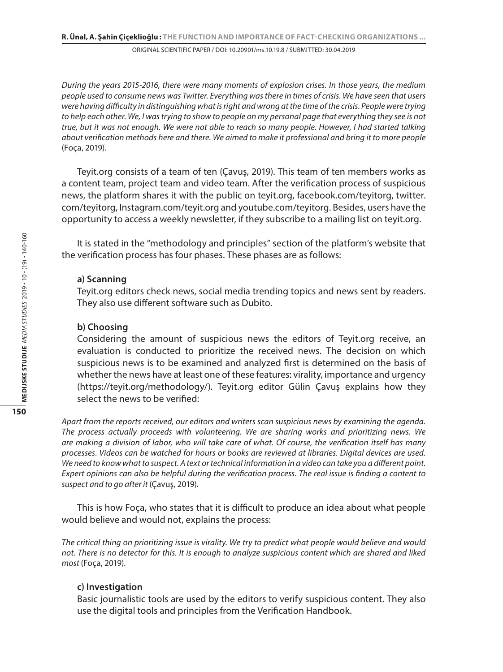*During the years 2015-2016, there were many moments of explosion crises. In those years, the medium people used to consume news was Twitter. Everything was there in times of crisis. We have seen that users*  were having difficulty in distinguishing what is right and wrong at the time of the crisis. People were trying *to help each other. We, I was trying to show to people on my personal page that everything they see is not true, but it was not enough. We were not able to reach so many people. However, I had started talking about verification methods here and there. We aimed to make it professional and bring it to more people*  (Foça, 2019).

Teyit.org consists of a team of ten (Çavuş, 2019). This team of ten members works as a content team, project team and video team. After the verification process of suspicious news, the platform shares it with the public on teyit.org, facebook.com/teyitorg, twitter. com/teyitorg, Instagram.com/teyit.org and youtube.com/teyitorg. Besides, users have the opportunity to access a weekly newsletter, if they subscribe to a mailing list on teyit.org.

It is stated in the "methodology and principles" section of the platform's website that the verification process has four phases. These phases are as follows:

#### **a) Scanning**

Teyit.org editors check news, social media trending topics and news sent by readers. They also use different software such as Dubito.

#### **b) Choosing**

Considering the amount of suspicious news the editors of Teyit.org receive, an evaluation is conducted to prioritize the received news. The decision on which suspicious news is to be examined and analyzed first is determined on the basis of whether the news have at least one of these features: virality, importance and urgency (https://teyit.org/methodology/). Teyit.org editor Gülin Çavuş explains how they select the news to be verified:

*Apart from the reports received, our editors and writers scan suspicious news by examining the agenda. The process actually proceeds with volunteering. We are sharing works and prioritizing news. We are making a division of labor, who will take care of what. Of course, the verification itself has many processes. Videos can be watched for hours or books are reviewed at libraries. Digital devices are used. We need to know what to suspect. A text or technical information in a video can take you a different point. Expert opinions can also be helpful during the verification process. The real issue is finding a content to suspect and to go after it* (Çavuş, 2019).

This is how Foça, who states that it is difficult to produce an idea about what people would believe and would not, explains the process:

*The critical thing on prioritizing issue is virality. We try to predict what people would believe and would not. There is no detector for this. It is enough to analyze suspicious content which are shared and liked most* (Foça, 2019).

#### **c) Investigation**

Basic journalistic tools are used by the editors to verify suspicious content. They also use the digital tools and principles from the Verification Handbook.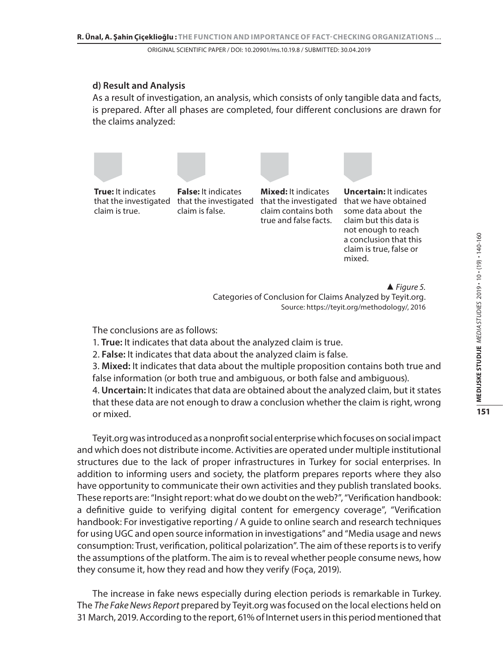#### **d) Result and Analysis**

As a result of investigation, an analysis, which consists of only tangible data and facts, is prepared. After all phases are completed, four different conclusions are drawn for the claims analyzed:



**True:** It indicates claim is true.

**False:** It indicates claim is false.

**Mixed:** It indicates claim contains both true and false facts.

that the investigated that the investigated that the investigated that we have obtained **Uncertain:** It indicates some data about the claim but this data is not enough to reach a conclusion that this claim is true, false or mixed.

> *Figure 5.* Categories of Conclusion for Claims Analyzed by Teyit.org. Source: https://teyit.org/methodology/, 2016

The conclusions are as follows:

1. **True:** It indicates that data about the analyzed claim is true.

2. **False:** It indicates that data about the analyzed claim is false.

3. **Mixed:** It indicates that data about the multiple proposition contains both true and false information (or both true and ambiguous, or both false and ambiguous).

4. **Uncertain:** It indicates that data are obtained about the analyzed claim, but it states that these data are not enough to draw a conclusion whether the claim is right, wrong or mixed.

Teyit.org was introduced as a nonprofit social enterprise which focuses on social impact and which does not distribute income. Activities are operated under multiple institutional structures due to the lack of proper infrastructures in Turkey for social enterprises. In addition to informing users and society, the platform prepares reports where they also have opportunity to communicate their own activities and they publish translated books. These reports are: "Insight report: what do we doubt on the web?", "Verification handbook: a definitive guide to verifying digital content for emergency coverage", "Verification handbook: For investigative reporting / A guide to online search and research techniques for using UGC and open source information in investigations" and "Media usage and news consumption: Trust, verification, political polarization". The aim of these reports is to verify the assumptions of the platform. The aim is to reveal whether people consume news, how they consume it, how they read and how they verify (Foça, 2019).

The increase in fake news especially during election periods is remarkable in Turkey. The *The Fake News Report* prepared by Teyit.org was focused on the local elections held on 31 March, 2019. According to the report, 61% of Internet users in this period mentioned that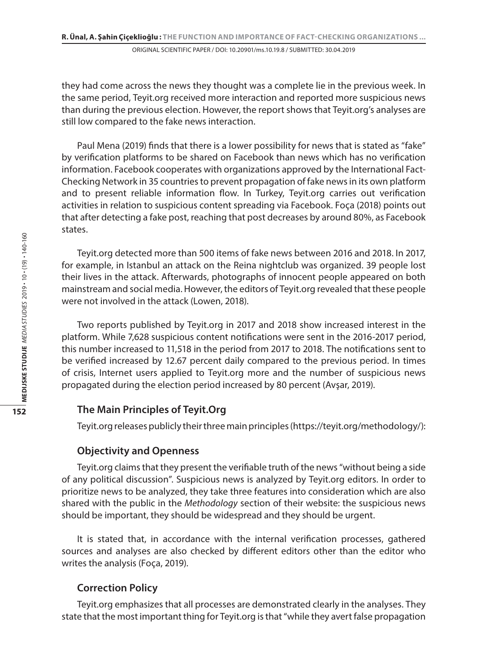they had come across the news they thought was a complete lie in the previous week. In the same period, Teyit.org received more interaction and reported more suspicious news than during the previous election. However, the report shows that Teyit.org's analyses are still low compared to the fake news interaction.

Paul Mena (2019) finds that there is a lower possibility for news that is stated as "fake" by verification platforms to be shared on Facebook than news which has no verification information. Facebook cooperates with organizations approved by the International Fact-Checking Network in 35 countries to prevent propagation of fake news in its own platform and to present reliable information flow. In Turkey, Teyit.org carries out verification activities in relation to suspicious content spreading via Facebook. Foça (2018) points out that after detecting a fake post, reaching that post decreases by around 80%, as Facebook states.

Teyit.org detected more than 500 items of fake news between 2016 and 2018. In 2017, for example, in Istanbul an attack on the Reina nightclub was organized. 39 people lost their lives in the attack. Afterwards, photographs of innocent people appeared on both mainstream and social media. However, the editors of Teyit.org revealed that these people were not involved in the attack (Lowen, 2018).

Two reports published by Teyit.org in 2017 and 2018 show increased interest in the platform. While 7,628 suspicious content notifications were sent in the 2016-2017 period, this number increased to 11,518 in the period from 2017 to 2018. The notifications sent to be verified increased by 12.67 percent daily compared to the previous period. In times of crisis, Internet users applied to Teyit.org more and the number of suspicious news propagated during the election period increased by 80 percent (Avşar, 2019).

## **The Main Principles of Teyit.Org**

Teyit.org releases publicly their three main principles (https://teyit.org/methodology/):

## **Objectivity and Openness**

Teyit.org claims that they present the verifiable truth of the news "without being a side of any political discussion". Suspicious news is analyzed by Teyit.org editors. In order to prioritize news to be analyzed, they take three features into consideration which are also shared with the public in the *Methodology* section of their website: the suspicious news should be important, they should be widespread and they should be urgent.

It is stated that, in accordance with the internal verification processes, gathered sources and analyses are also checked by different editors other than the editor who writes the analysis (Foça, 2019).

## **Correction Policy**

Teyit.org emphasizes that all processes are demonstrated clearly in the analyses. They state that the most important thing for Teyit.org is that "while they avert false propagation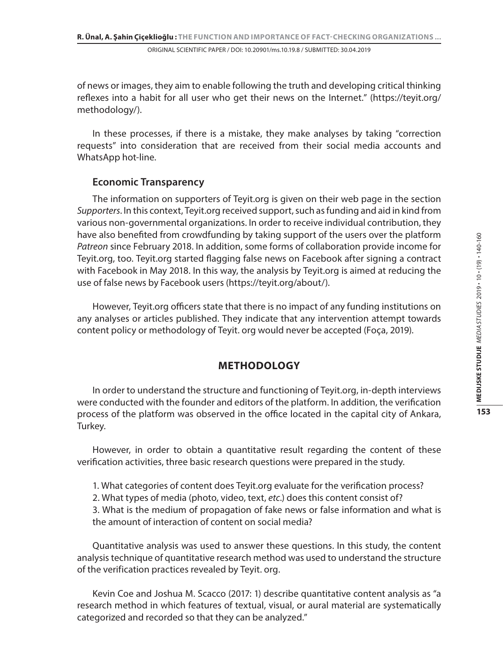of news or images, they aim to enable following the truth and developing critical thinking reflexes into a habit for all user who get their news on the Internet." (https://teyit.org/ methodology/).

In these processes, if there is a mistake, they make analyses by taking "correction requests" into consideration that are received from their social media accounts and WhatsApp hot-line.

#### **Economic Transparency**

The information on supporters of Teyit.org is given on their web page in the section *Supporters*. In this context, Teyit.org received support, such as funding and aid in kind from various non-governmental organizations. In order to receive individual contribution, they have also benefited from crowdfunding by taking support of the users over the platform *Patreon* since February 2018. In addition, some forms of collaboration provide income for Teyit.org, too. Teyit.org started flagging false news on Facebook after signing a contract with Facebook in May 2018. In this way, the analysis by Teyit.org is aimed at reducing the use of false news by Facebook users (https://teyit.org/about/).

However, Teyit.org officers state that there is no impact of any funding institutions on any analyses or articles published. They indicate that any intervention attempt towards content policy or methodology of Teyit. org would never be accepted (Foça, 2019).

### **METHODOLOGY**

In order to understand the structure and functioning of Teyit.org, in-depth interviews were conducted with the founder and editors of the platform. In addition, the verification process of the platform was observed in the office located in the capital city of Ankara, Turkey.

However, in order to obtain a quantitative result regarding the content of these verification activities, three basic research questions were prepared in the study.

1. What categories of content does Teyit.org evaluate for the verification process?

- 2. What types of media (photo, video, text, *etc*.) does this content consist of?
- 3. What is the medium of propagation of fake news or false information and what is the amount of interaction of content on social media?

Quantitative analysis was used to answer these questions. In this study, the content analysis technique of quantitative research method was used to understand the structure of the verification practices revealed by Teyit. org.

Kevin Coe and Joshua M. Scacco (2017: 1) describe quantitative content analysis as "a research method in which features of textual, visual, or aural material are systematically categorized and recorded so that they can be analyzed."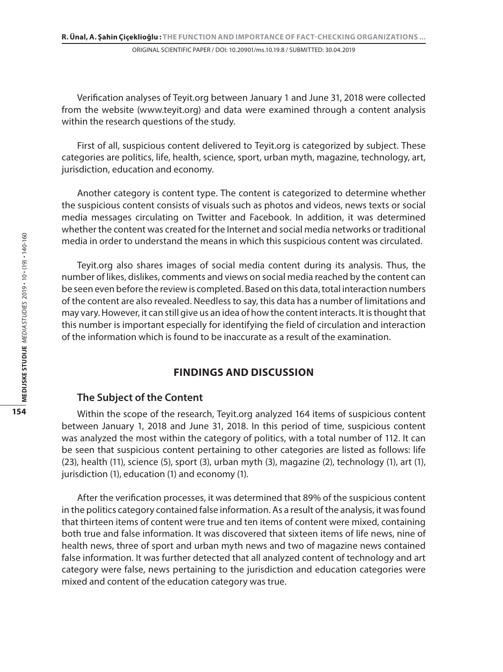Verification analyses of Teyit.org between January 1 and June 31, 2018 were collected from the website (www.teyit.org) and data were examined through a content analysis within the research questions of the study.

First of all, suspicious content delivered to Teyit.org is categorized by subject. These categories are politics, life, health, science, sport, urban myth, magazine, technology, art, jurisdiction, education and economy.

Another category is content type. The content is categorized to determine whether the suspicious content consists of visuals such as photos and videos, news texts or social media messages circulating on Twitter and Facebook. In addition, it was determined whether the content was created for the Internet and social media networks or traditional media in order to understand the means in which this suspicious content was circulated.

Teyit.org also shares images of social media content during its analysis. Thus, the number of likes, dislikes, comments and views on social media reached by the content can be seen even before the review is completed. Based on this data, total interaction numbers of the content are also revealed. Needless to say, this data has a number of limitations and may vary. However, it can still give us an idea of how the content interacts. It is thought that this number is important especially for identifying the field of circulation and interaction of the information which is found to be inaccurate as a result of the examination.

### **FINDINGS AND DISCUSSION**

#### **The Subject of the Content**

Within the scope of the research, Teyit.org analyzed 164 items of suspicious content between January 1, 2018 and June 31, 2018. In this period of time, suspicious content was analyzed the most within the category of politics, with a total number of 112. It can be seen that suspicious content pertaining to other categories are listed as follows: life (23), health (11), science (5), sport (3), urban myth (3), magazine (2), technology (1), art (1), jurisdiction (1), education (1) and economy (1).

After the verification processes, it was determined that 89% of the suspicious content in the politics category contained false information. As a result of the analysis, it was found that thirteen items of content were true and ten items of content were mixed, containing both true and false information. It was discovered that sixteen items of life news, nine of health news, three of sport and urban myth news and two of magazine news contained false information. It was further detected that all analyzed content of technology and art category were false, news pertaining to the jurisdiction and education categories were mixed and content of the education category was true.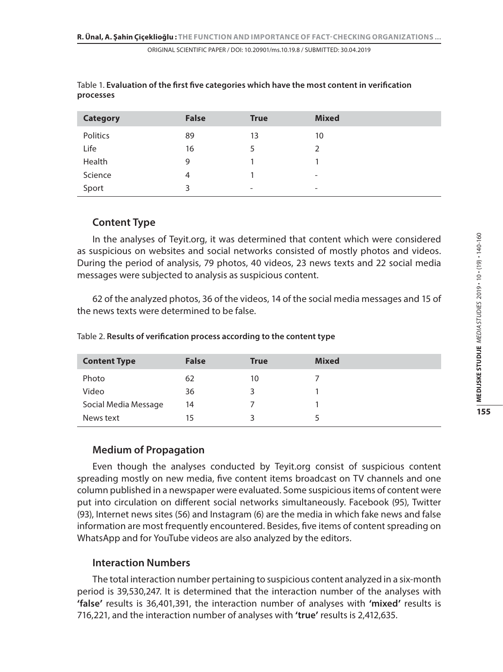| <b>Category</b> | <b>False</b> | <b>True</b> | <b>Mixed</b>             |
|-----------------|--------------|-------------|--------------------------|
| Politics        | 89           | 13          | 10                       |
| Life            | 16           | 5           | $\mathcal{P}$            |
| Health          | 9            |             |                          |
| Science         | 4            |             | $\overline{\phantom{a}}$ |
| Sport           | 3            | -           | $\overline{\phantom{a}}$ |

#### Table 1. **Evaluation of the first five categories which have the most content in verification processes**

## **Content Type**

In the analyses of Teyit.org, it was determined that content which were considered as suspicious on websites and social networks consisted of mostly photos and videos. During the period of analysis, 79 photos, 40 videos, 23 news texts and 22 social media messages were subjected to analysis as suspicious content.

62 of the analyzed photos, 36 of the videos, 14 of the social media messages and 15 of the news texts were determined to be false.

| <b>Content Type</b>  | <b>False</b> | <b>True</b> | <b>Mixed</b> |
|----------------------|--------------|-------------|--------------|
| Photo                | 62           | 10          |              |
| Video                | 36           | 3           |              |
| Social Media Message | 14           |             |              |
| News text            | 15           | 3           |              |

Table 2. **Results of verification process according to the content type**

### **Medium of Propagation**

Even though the analyses conducted by Teyit.org consist of suspicious content spreading mostly on new media, five content items broadcast on TV channels and one column published in a newspaper were evaluated. Some suspicious items of content were put into circulation on different social networks simultaneously. Facebook (95), Twitter (93), Internet news sites (56) and Instagram (6) are the media in which fake news and false information are most frequently encountered. Besides, five items of content spreading on WhatsApp and for YouTube videos are also analyzed by the editors.

#### **Interaction Numbers**

The total interaction number pertaining to suspicious content analyzed in a six-month period is 39,530,247. It is determined that the interaction number of the analyses with **'false'** results is 36,401,391, the interaction number of analyses with **'mixed'** results is 716,221, and the interaction number of analyses with **'true'** results is 2,412,635.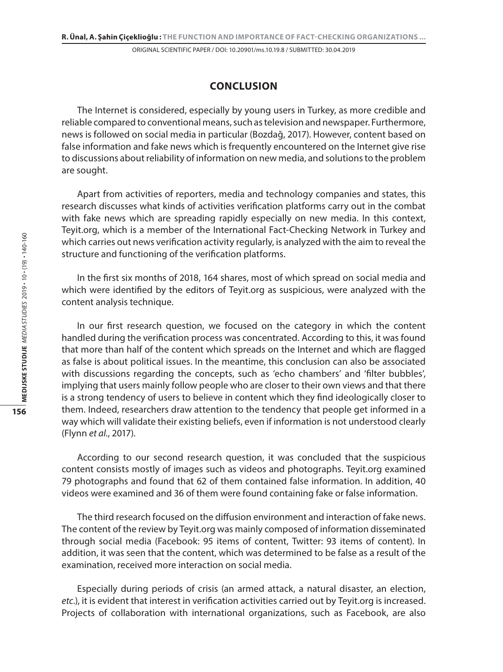#### **CONCLUSION**

The Internet is considered, especially by young users in Turkey, as more credible and reliable compared to conventional means, such as television and newspaper. Furthermore, news is followed on social media in particular (Bozdağ, 2017). However, content based on false information and fake news which is frequently encountered on the Internet give rise to discussions about reliability of information on new media, and solutions to the problem are sought.

Apart from activities of reporters, media and technology companies and states, this research discusses what kinds of activities verification platforms carry out in the combat with fake news which are spreading rapidly especially on new media. In this context, Teyit.org, which is a member of the International Fact-Checking Network in Turkey and which carries out news verification activity regularly, is analyzed with the aim to reveal the structure and functioning of the verification platforms.

In the first six months of 2018, 164 shares, most of which spread on social media and which were identified by the editors of Teyit.org as suspicious, were analyzed with the content analysis technique.

In our first research question, we focused on the category in which the content handled during the verification process was concentrated. According to this, it was found that more than half of the content which spreads on the Internet and which are flagged as false is about political issues. In the meantime, this conclusion can also be associated with discussions regarding the concepts, such as 'echo chambers' and 'filter bubbles', implying that users mainly follow people who are closer to their own views and that there is a strong tendency of users to believe in content which they find ideologically closer to them. Indeed, researchers draw attention to the tendency that people get informed in a way which will validate their existing beliefs, even if information is not understood clearly (Flynn *et al.*, 2017).

According to our second research question, it was concluded that the suspicious content consists mostly of images such as videos and photographs. Teyit.org examined 79 photographs and found that 62 of them contained false information. In addition, 40 videos were examined and 36 of them were found containing fake or false information.

The third research focused on the diffusion environment and interaction of fake news. The content of the review by Teyit.org was mainly composed of information disseminated through social media (Facebook: 95 items of content, Twitter: 93 items of content). In addition, it was seen that the content, which was determined to be false as a result of the examination, received more interaction on social media.

Especially during periods of crisis (an armed attack, a natural disaster, an election, *etc*.), it is evident that interest in verification activities carried out by Teyit.org is increased. Projects of collaboration with international organizations, such as Facebook, are also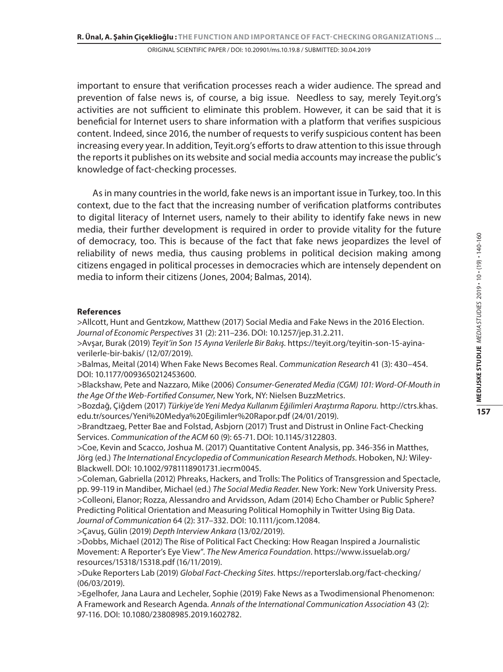important to ensure that verification processes reach a wider audience. The spread and prevention of false news is, of course, a big issue. Needless to say, merely Teyit.org's activities are not sufficient to eliminate this problem. However, it can be said that it is beneficial for Internet users to share information with a platform that verifies suspicious content. Indeed, since 2016, the number of requests to verify suspicious content has been increasing every year. In addition, Teyit.org's efforts to draw attention to this issue through the reports it publishes on its website and social media accounts may increase the public's knowledge of fact-checking processes.

As in many countries in the world, fake news is an important issue in Turkey, too. In this context, due to the fact that the increasing number of verification platforms contributes to digital literacy of Internet users, namely to their ability to identify fake news in new media, their further development is required in order to provide vitality for the future of democracy, too. This is because of the fact that fake news jeopardizes the level of reliability of news media, thus causing problems in political decision making among citizens engaged in political processes in democracies which are intensely dependent on media to inform their citizens (Jones, 2004; Balmas, 2014).

#### **References**

>Allcott, Hunt and Gentzkow, Matthew (2017) Social Media and Fake News in the 2016 Election. *Journal of Economic Perspectives* 31 (2): 211–236. DOI: 10.1257/jep.31.2.211.

>Avşar, Burak (2019) *Teyit'in Son 15 Ayına Verilerle Bir Bakış.* https://teyit.org/teyitin-son-15-ayinaverilerle-bir-bakis/ (12/07/2019).

>Balmas, Meital (2014) When Fake News Becomes Real. *Communication Research* 41 (3): 430–454. DOI: 10.1177/0093650212453600.

>Blackshaw, Pete and Nazzaro, Mike (2006) *Consumer-Generated Media (CGM) 101: Word-Of-Mouth in the Age Of the Web-Fortified Consumer*, New York, NY: Nielsen BuzzMetrics.

>Bozdağ, Çiğdem (2017) *Türkiye'de Yeni Medya Kullanım Eğilimleri Araştırma Raporu.* http://ctrs.khas. edu.tr/sources/Yeni%20Medya%20Egilimler%20Rapor.pdf (24/01/2019).

>Brandtzaeg, Petter Bae and Folstad, Asbjorn (2017) Trust and Distrust in Online Fact-Checking Services. *Communication of the ACM* 60 (9): 65-71. DOI: 10.1145/3122803.

>Coe, Kevin and Scacco, Joshua M. (2017) Quantitative Content Analysis, pp. 346-356 in Matthes, Jörg (ed.) *The International Encyclopedia of Communication Research Methods*. Hoboken, NJ: Wiley-Blackwell. DOI: 10.1002/9781118901731.iecrm0045.

>Coleman, Gabriella (2012) Phreaks, Hackers, and Trolls: The Politics of Transgression and Spectacle, pp. 99-119 in Mandiber, Michael (ed.) *The Social Media Reader*. New York: New York University Press. >Colleoni, Elanor; Rozza, Alessandro and Arvidsson, Adam (2014) Echo Chamber or Public Sphere? Predicting Political Orientation and Measuring Political Homophily in Twitter Using Big Data. *Journal of Communication* 64 (2): 317–332. DOI: 10.1111/jcom.12084.

>Çavuş, Gülin (2019) *Depth Interview Ankara* (13/02/2019).

>Dobbs, Michael (2012) The Rise of Political Fact Checking: How Reagan Inspired a Journalistic Movement: A Reporter's Eye View". *The New America Foundation*. https://www.issuelab.org/ resources/15318/15318.pdf (16/11/2019).

>Duke Reporters Lab (2019) *Global Fact-Checking Sites.* https://reporterslab.org/fact-checking/ (06/03/2019).

>Egelhofer, Jana Laura and Lecheler, Sophie (2019) Fake News as a Twodimensional Phenomenon: A Framework and Research Agenda*. Annals of the International Communication Association* 43 (2): 97-116. DOI: 10.1080/23808985.2019.1602782.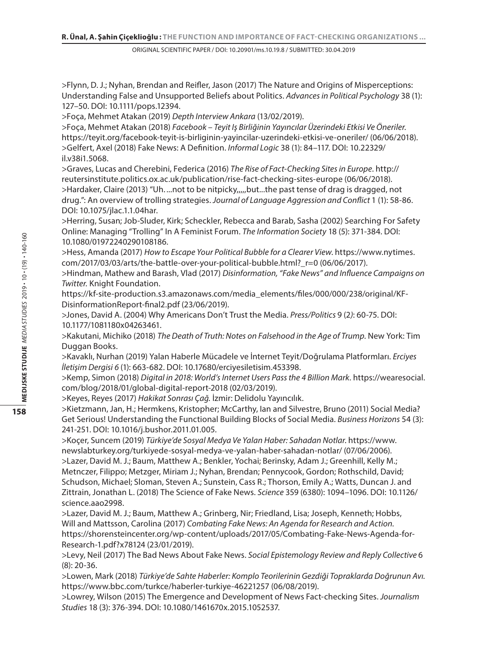>Flynn, D. J.; Nyhan, Brendan and Reifler, Jason (2017) The Nature and Origins of Misperceptions: Understanding False and Unsupported Beliefs about Politics. *Advances in Political Psychology* 38 (1): 127–50. DOI: 10.1111/pops.12394.

>Foça, Mehmet Atakan (2019) *Depth Interview Ankara* (13/02/2019).

>Foça, Mehmet Atakan (2018) *Facebook – Teyit Iş Birliğinin Yayıncılar Üzerindeki Etkisi Ve Öneriler.*  https://teyit.org/facebook-teyit-is-birliginin-yayincilar-uzerindeki-etkisi-ve-oneriler/ (06/06/2018). >Gelfert, Axel (2018) Fake News: A Definition. *Informal Logic* 38 (1): 84–117. DOI: 10.22329/ il.v38i1.5068.

>Graves, Lucas and Cherebini, Federica (2016) *The Rise of Fact-Checking Sites in Europe*. http:// reutersinstitute.politics.ox.ac.uk/publication/rise-fact-checking-sites-europe (06/06/2018). >Hardaker, Claire (2013) "Uh. ...not to be nitpicky,,,,,but...the past tense of drag is dragged, not drug.": An overview of trolling strategies. *Journal of Language Aggression and Conflict* 1 (1): 58-86. DOI: 10.1075/jlac.1.1.04har.

>Herring, Susan; Job-Sluder, Kirk; Scheckler, Rebecca and Barab, Sasha (2002) Searching For Safety Online: Managing "Trolling" In A Feminist Forum. *The Information Society* 18 (5): 371-384. DOI: 10.1080/01972240290108186.

>Hess, Amanda (2017) *How to Escape Your Political Bubble for a Clearer View*. https://www.nytimes. com/2017/03/03/arts/the-battle-over-your-political-bubble.html?\_r=0 (06/06/2017). >Hindman, Mathew and Barash, Vlad (2017) *Disinformation, "Fake News" and Influence Campaigns on* 

*Twitter.* Knight Foundation.

https://kf-site-production.s3.amazonaws.com/media\_elements/files/000/000/238/original/KF-DisinformationReport-final2.pdf (23/06/2019).

>Jones, David A. (2004) Why Americans Don't Trust the Media. *Press/Politics* 9 (2*)*: 60-75. DOI: 10.1177/1081180x04263461.

>Kakutani, Michiko (2018) *The Death of Truth: Notes on Falsehood in the Age of Trump*. New York: Tim Duggan Books.

>Kavaklı, Nurhan (2019) Yalan Haberle Mücadele ve İnternet Teyit/Doğrulama Platformları. *Erciyes İletişim Dergisi 6* (1): 663-682. DOI: 10.17680/erciyesiletisim.453398.

>Kemp, Simon (2018) *Digital in 2018: World's Internet Users Pass the 4 Billion Mark*. https://wearesocial. com/blog/2018/01/global-digital-report-2018 (02/03/2019).

>Keyes, Reyes (2017) *Hakikat Sonrası Çağ.* İzmir: Delidolu Yayıncılık.

>Kietzmann, Jan, H.; Hermkens, Kristopher; McCarthy, Ian and Silvestre, Bruno (2011) Social Media? Get Serious! Understanding the Functional Building Blocks of Social Media. *Business Horizons* 54 (3): 241-251. DOI: 10.1016/j.bushor.2011.01.005.

>Koçer, Suncem (2019) *Türkiye'de Sosyal Medya Ve Yalan Haber: Sahadan Notlar*. https://www. newslabturkey.org/turkiyede-sosyal-medya-ve-yalan-haber-sahadan-notlar/ (07/06/2006). >Lazer, David M. J.; Baum, Matthew A.; Benkler, Yochai; Berinsky, Adam J.; Greenhill, Kelly M.;

Metnczer, Filippo; Metzger, Miriam J.; Nyhan, Brendan; Pennycook, Gordon; Rothschild, David; Schudson, Michael; Sloman, Steven A.; Sunstein, Cass R.; Thorson, Emily A.; Watts, Duncan J. and Zittrain, Jonathan L. (2018) The Science of Fake News. *Science* 359 (6380): 1094–1096. DOI: 10.1126/ science.aao2998.

>Lazer, David M. J.; Baum, Matthew A.; Grinberg, Nir; Friedland, Lisa; Joseph, Kenneth; Hobbs, Will and Mattsson, Carolina (2017) *Combating Fake News: An Agenda for Research and Action.*  https://shorensteincenter.org/wp-content/uploads/2017/05/Combating-Fake-News-Agenda-for-Research-1.pdf?x78124 (23/01/2019).

>Levy, Neil (2017) The Bad News About Fake News. *Social Epistemology Review and Reply Collective* 6 (8): 20-36.

>Lowen, Mark (2018) *Türkiye'de Sahte Haberler: Komplo Teorilerinin Gezdiği Topraklarda Doğrunun Avı.* https://www.bbc.com/turkce/haberler-turkiye-46221257 (06/08/2019).

>Lowrey, Wilson (2015) The Emergence and Development of News Fact-checking Sites. *Journalism Studies* 18 (3): 376-394. DOI: 10.1080/1461670x.2015.1052537.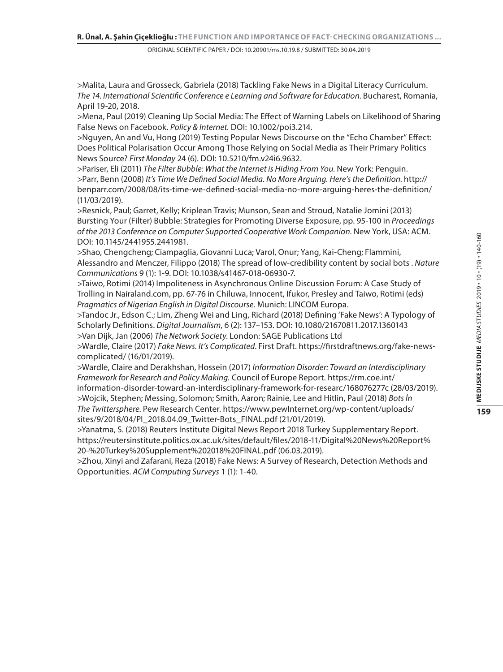>Malita, Laura and Grosseck, Gabriela (2018) Tackling Fake News in a Digital Literacy Curriculum. The 14. International Scientific Conference e Learning and Software for Education. Bucharest, Romania, April 19-20, 2018.

>Mena, Paul (2019) Cleaning Up Social Media: The Effect of Warning Labels on Likelihood of Sharing False News on Facebook. *Policy & Internet.* DOI: 10.1002/poi3.214.

>Nguyen, An and Vu, Hong (2019) Testing Popular News Discourse on the "Echo Chamber" Effect: Does Political Polarisation Occur Among Those Relying on Social Media as Their Primary Politics News Source? *First Monday* 24 (6). DOI: 10.5210/fm.v24i6.9632.

>Pariser, Eli (2011) *The Filter Bubble: What the Internet is Hiding From You. New York: Penguin.* >Parr, Benn (2008) *It's Time We Defined Social Media. No More Arguing. Here's the Definition.* http:// benparr.com/2008/08/its-time-we-defined-social-media-no-more-arguing-heres-the-definition/ (11/03/2019).

>Resnick, Paul; Garret, Kelly; Kriplean Travis; Munson, Sean and Stroud, Natalie Jomini (2013) Bursting Your (Filter) Bubble: Strategies for Promoting Diverse Exposure, pp. 95-100 in *Proceedings of the 2013 Conference on Computer Supported Cooperative Work Companion*. New York, USA: ACM. DOI: 10.1145/2441955.2441981.

>Shao, Chengcheng; Ciampaglia, Giovanni Luca; Varol, Onur; Yang, Kai-Cheng; Flammini, Alessandro and Menczer, Filippo (2018) The spread of low-credibility content by social bots . *Nature Communications* 9 (1): 1-9. DOI: 10.1038/s41467-018-06930-7.

>Taiwo, Rotimi (2014) Impoliteness in Asynchronous Online Discussion Forum: A Case Study of Trolling in Nairaland.com, pp. 67-76 in Chiluwa, Innocent, Ifukor, Presley and Taiwo, Rotimi (eds) *Pragmatics of Nigerian English in Digital Discourse.* Munich: LINCOM Europa.

>Tandoc Jr., Edson C.; Lim, Zheng Wei and Ling, Richard (2018) Defining 'Fake News': A Typology of Scholarly Definitions. *Digital Journalism*, 6 (2): 137–153. DOI: 10.1080/21670811.2017.1360143 >Van Dijk, Jan (2006) *The Network Society*. London: SAGE Publications Ltd

>Wardle, Claire (2017) *Fake News. It's Complicated*. First Draft. https://firstdraftnews.org/fake-newscomplicated/ (16/01/2019).

>Wardle, Claire and Derakhshan, Hossein (2017) *Information Disorder: Toward an Interdisciplinary Framework for Research and Policy Making.* Council of Europe Report. https://rm.coe.int/

information-disorder-toward-an-interdisciplinary-framework-for-researc/168076277c (28/03/2019).

>Wojcik, Stephen; Messing, Solomon; Smith, Aaron; Rainie, Lee and Hitlin, Paul (2018) *Bots İn The Twittersphere*. Pew Research Center. https://www.pewInternet.org/wp-content/uploads/ sites/9/2018/04/PI\_2018.04.09\_Twitter-Bots\_FINAL.pdf (21/01/2019).

>Yanatma, S. (2018) Reuters Institute Digital News Report 2018 Turkey Supplementary Report. https://reutersinstitute.politics.ox.ac.uk/sites/default/files/2018-11/Digital%20News%20Report% 20-%20Turkey%20Supplement%202018%20FINAL.pdf (06.03.2019).

>Zhou, Xinyi and Zafarani, Reza (2018) Fake News: A Survey of Research, Detection Methods and Opportunities. *ACM Computing Surveys* 1 (1): 1-40.